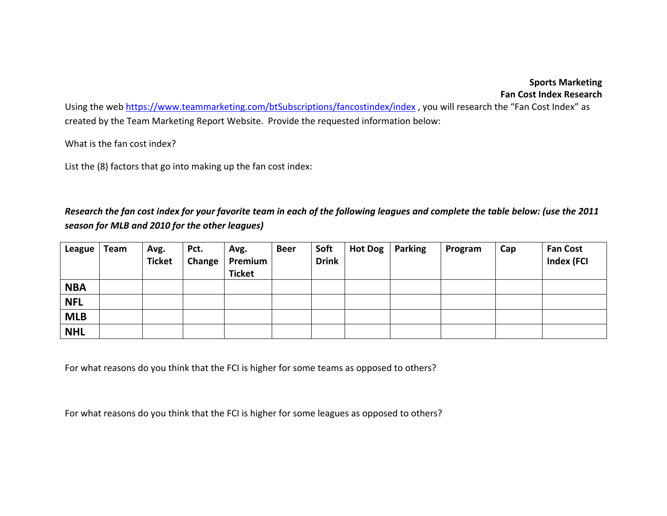## **Sports Marketing Fan Cost Index Research**

Using the web https://www.teammarketing.com/btSubscriptions/fancostindex/index , you will research the "Fan Cost Index" as created by the Team Marketing Report Website. Provide the requested information below:

What is the fan cost index?

List the (8) factors that go into making up the fan cost index:

## Research the fan cost index for your favorite team in each of the following leagues and complete the table below: (use the 2011 *season for MLB and 2010 for the other leagues)*

| League     | Team | Avg.<br><b>Ticket</b> | Pct.<br>Change | Avg.<br>Premium<br><b>Ticket</b> | <b>Beer</b> | Soft<br><b>Drink</b> | Hot Dog   Parking | Program | Cap | <b>Fan Cost</b><br><b>Index (FCI</b> |
|------------|------|-----------------------|----------------|----------------------------------|-------------|----------------------|-------------------|---------|-----|--------------------------------------|
| <b>NBA</b> |      |                       |                |                                  |             |                      |                   |         |     |                                      |
| <b>NFL</b> |      |                       |                |                                  |             |                      |                   |         |     |                                      |
| <b>MLB</b> |      |                       |                |                                  |             |                      |                   |         |     |                                      |
| <b>NHL</b> |      |                       |                |                                  |             |                      |                   |         |     |                                      |

For what reasons do you think that the FCI is higher for some teams as opposed to others?

For what reasons do you think that the FCI is higher for some leagues as opposed to others?